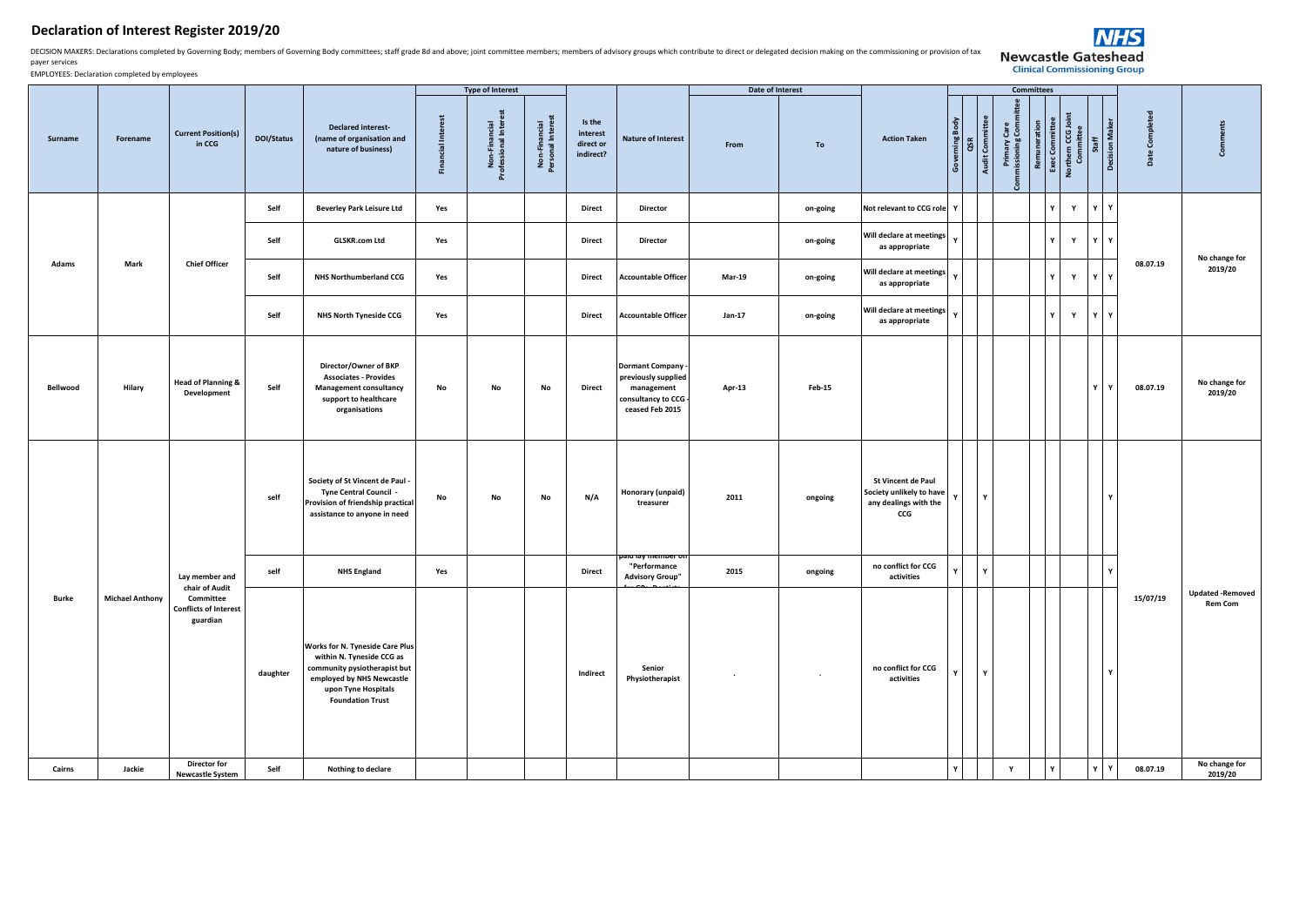## **Declaration of Interest Register 2019/20**

DECISION MAKERS: Declarations completed by Governing Body; members of Governing Body committees; staff grade 8d and above; joint committee members; members of advisory groups which contribute to direct or delegated decisio payer services



EMPLOYEES: Declaration completed by employees

|          |                        |                                                       |            |                                                                                                                                                                                    |                           | <b>Type of Interest</b>              |                                    |                                              |                                                                                                      | Date of Interest |                |                                                                                |                    |                 | Committees                              |                                |                                 |              |                       |                |                                          |
|----------|------------------------|-------------------------------------------------------|------------|------------------------------------------------------------------------------------------------------------------------------------------------------------------------------------|---------------------------|--------------------------------------|------------------------------------|----------------------------------------------|------------------------------------------------------------------------------------------------------|------------------|----------------|--------------------------------------------------------------------------------|--------------------|-----------------|-----------------------------------------|--------------------------------|---------------------------------|--------------|-----------------------|----------------|------------------------------------------|
| Surname  | Forename               | <b>Current Position(s)</b><br>in CCG                  | DOI/Status | <b>Declared interest-</b><br>(name of organisation and<br>nature of business)                                                                                                      | <b>Financial Interest</b> | Non-Financial<br>Professional Intere | Non-Financial<br>Personal Interest | Is the<br>interest<br>direct or<br>indirect? | <b>Nature of Interest</b>                                                                            | From             | To             | <b>Action Taken</b>                                                            | Governing B<br>QSR | Audit Committee | Primary Care<br>Commissioning Committee | Exec Committee<br>Remuneration | Northern CCG Joint<br>Committee | Staff        | <b>Decision Maker</b> | Date Completed | <b>S</b>                                 |
|          |                        |                                                       | Self       | <b>Beverley Park Leisure Ltd</b>                                                                                                                                                   | Yes                       |                                      |                                    | <b>Direct</b>                                | Director                                                                                             |                  | on-going       | Not relevant to CCG role Y                                                     |                    |                 |                                         |                                | $\mathbf Y$                     | $\mathbf{v}$ | Y                     |                |                                          |
|          |                        |                                                       | Self       | <b>GLSKR.com Ltd</b>                                                                                                                                                               | Yes                       |                                      |                                    | <b>Direct</b>                                | <b>Director</b>                                                                                      |                  | on-going       | Will declare at meetings<br>as appropriate                                     |                    |                 |                                         |                                | $\mathbf Y$<br>$\mathbf{v}$     | $\mathbf{v}$ | ΙY                    |                | No change for                            |
| Adams    | Mark                   | <b>Chief Officer</b>                                  | Self       | <b>NHS Northumberland CCG</b>                                                                                                                                                      | Yes                       |                                      |                                    | <b>Direct</b>                                | <b>Accountable Officer</b>                                                                           | <b>Mar-19</b>    | on-going       | Will declare at meetings   Y<br>as appropriate                                 |                    |                 |                                         |                                | $\mathbf Y$<br>$\mathbf{v}$     | v            | Y                     | 08.07.19       | 2019/20                                  |
|          |                        |                                                       | Self       | NHS North Tyneside CCG                                                                                                                                                             | Yes                       |                                      |                                    | Direct                                       | <b>Accountable Officer</b>                                                                           | Jan-17           | on-going       | Will declare at meetings<br>as appropriate                                     | Y                  |                 |                                         |                                | $\mathbf Y$<br>Y                | Y            | ΙY                    |                |                                          |
| Bellwood | Hilary                 | <b>Head of Planning &amp;</b><br>Development          | Self       | Director/Owner of BKP<br><b>Associates - Provides</b><br><b>Management consultancy</b><br>support to healthcare<br>organisations                                                   | No                        | No                                   | No                                 | <b>Direct</b>                                | <b>Dormant Company</b><br>previously supplied<br>management<br>consultancy to CCG<br>ceased Feb 2015 | Apr-13           | Feb-15         |                                                                                |                    |                 |                                         |                                |                                 |              | Y                     | 08.07.19       | No change for<br>2019/20                 |
|          |                        |                                                       | self       | Society of St Vincent de Paul -<br>Tyne Central Council -<br>Provision of friendship practical<br>assistance to anyone in need                                                     | No                        | No                                   | No                                 | N/A                                          | Honorary (unpaid)<br>treasurer<br>aru ray men                                                        | 2011             | ongoing        | St Vincent de Paul<br>Society unlikely to have<br>any dealings with the<br>ccG | $\mathbf{v}$       | $\mathbf{v}$    |                                         |                                |                                 |              | $\mathbf{v}$          |                |                                          |
|          |                        | Lay member and<br>chair of Audit                      | self       | <b>NHS England</b>                                                                                                                                                                 | Yes                       |                                      |                                    | <b>Direct</b>                                | "Performance<br><b>Advisory Group"</b>                                                               | 2015             | ongoing        | no conflict for CCG<br>activities                                              | $\mathbf{v}$       | $\mathbf{v}$    |                                         |                                |                                 |              | $\mathbf{Y}$          |                |                                          |
| Burke    | <b>Michael Anthony</b> | Committee<br><b>Conflicts of Interest</b><br>guardian | daughter   | <b>Works for N. Tyneside Care Plus</b><br>within N. Tyneside CCG as<br>community pysiotherapist but<br>employed by NHS Newcastle<br>upon Tyne Hospitals<br><b>Foundation Trust</b> |                           |                                      |                                    | Indirect                                     | Senior<br>Physiotherapist                                                                            |                  | $\blacksquare$ | no conflict for CCG<br>activities                                              | $\mathbf{v}$       | $\mathbf{v}$    |                                         |                                |                                 |              | $\mathbf{v}$          | 15/07/19       | <b>Updated-Removed</b><br><b>Rem Com</b> |
| Cairns   | Jackie                 | <b>Director for</b><br><b>Newcastle System</b>        | Self       | Nothing to declare                                                                                                                                                                 |                           |                                      |                                    |                                              |                                                                                                      |                  |                |                                                                                | ΙY                 |                 | Y                                       |                                | $\mathbf{v}$                    | Y            | $\mathbf Y$           | 08.07.19       | No change for<br>2019/20                 |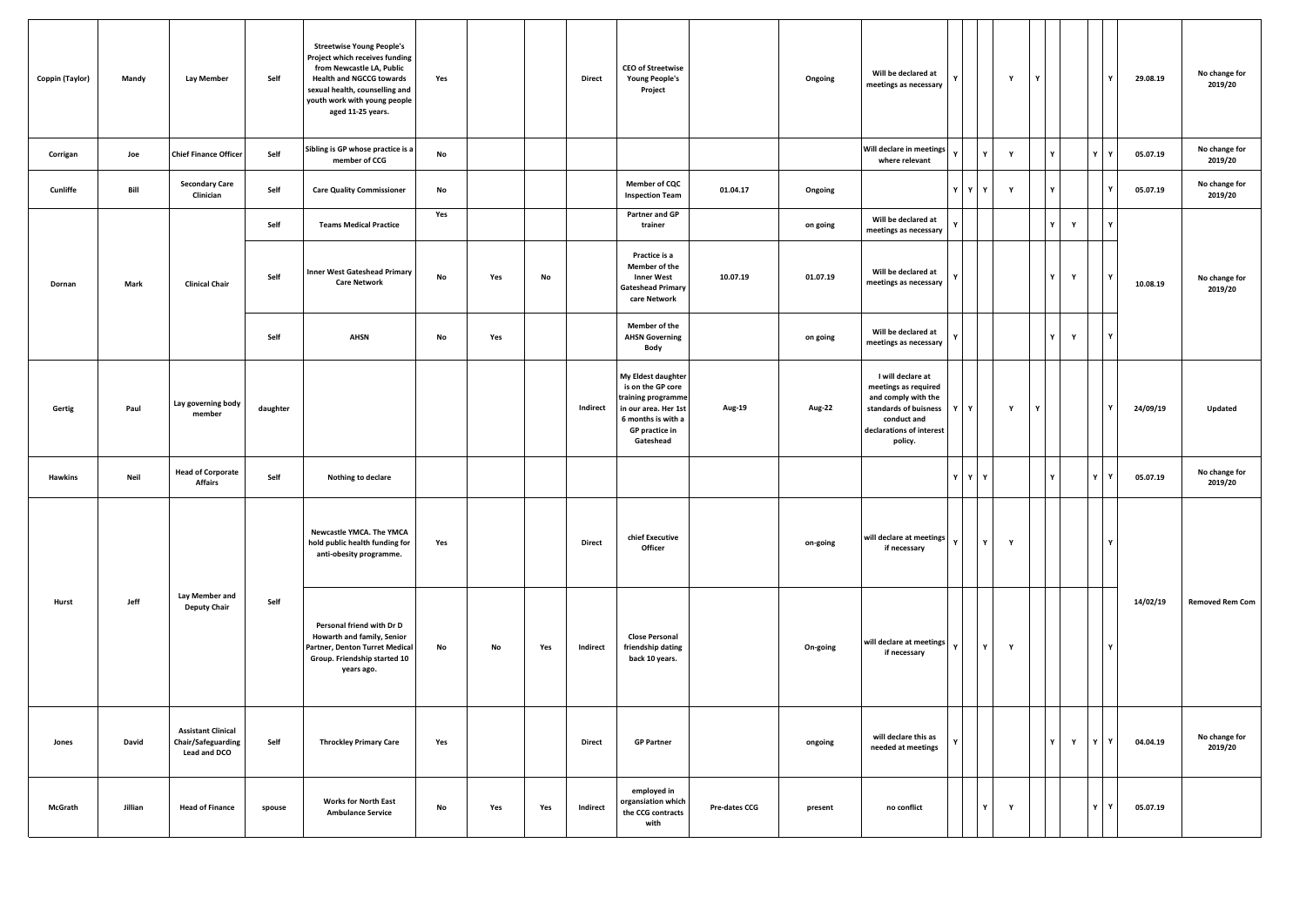| Coppin (Taylor) | Mandy   | <b>Lay Member</b>                                                      | Self     | <b>Streetwise Young People's</b><br>Project which receives funding<br>from Newcastle LA, Public<br><b>Health and NGCCG towards</b><br>sexual health, counselling and<br>youth work with young people<br>aged 11-25 years. | Yes |     |     | <b>Direct</b> | <b>CEO of Streetwise</b><br><b>Young People's</b><br>Project                                                                               |               | Ongoing  | Will be declared at<br>meetings as necessary                                                                                                    |              |              | Y | Y |   |   | Y       | 29.08.19 | No change for<br>2019/20 |
|-----------------|---------|------------------------------------------------------------------------|----------|---------------------------------------------------------------------------------------------------------------------------------------------------------------------------------------------------------------------------|-----|-----|-----|---------------|--------------------------------------------------------------------------------------------------------------------------------------------|---------------|----------|-------------------------------------------------------------------------------------------------------------------------------------------------|--------------|--------------|---|---|---|---|---------|----------|--------------------------|
| Corrigan        | Joe     | <b>Chief Finance Officer</b>                                           | Self     | Sibling is GP whose practice is a<br>member of CCG                                                                                                                                                                        | No  |     |     |               |                                                                                                                                            |               |          | Will declare in meetings<br>where relevant                                                                                                      |              |              | Y |   |   |   | Y       | 05.07.19 | No change for<br>2019/20 |
| Cunliffe        | Bill    | <b>Secondary Care</b><br>Clinician                                     | Self     | <b>Care Quality Commissioner</b>                                                                                                                                                                                          | No  |     |     |               | <b>Member of CQC</b><br><b>Inspection Team</b>                                                                                             | 01.04.17      | Ongoing  |                                                                                                                                                 | YY           |              | Y |   | Υ |   | Υ       | 05.07.19 | No change for<br>2019/20 |
|                 |         |                                                                        | Self     | <b>Teams Medical Practice</b>                                                                                                                                                                                             | Yes |     |     |               | Partner and GP<br>trainer                                                                                                                  |               | on going | Will be declared at<br>meetings as necessary                                                                                                    |              |              |   |   |   | Y | v       |          |                          |
| Dornan          | Mark    | <b>Clinical Chair</b>                                                  | Self     | <b>Inner West Gateshead Primary</b><br><b>Care Network</b>                                                                                                                                                                | No  | Yes | No  |               | Practice is a<br>Member of the<br><b>Inner West</b><br><b>Gateshead Primary</b><br>care Network                                            | 10.07.19      | 01.07.19 | Will be declared at<br>meetings as necessary                                                                                                    |              |              |   |   | Y | Y | Y       | 10.08.19 | No change for<br>2019/20 |
|                 |         |                                                                        | Self     | <b>AHSN</b>                                                                                                                                                                                                               | No  | Yes |     |               | Member of the<br><b>AHSN Governing</b><br>Body                                                                                             |               | on going | Will be declared at<br>meetings as necessary                                                                                                    |              |              |   |   | Y | Y | Y       |          |                          |
| Gertig          | Paul    | Lay governing body<br>member                                           | daughter |                                                                                                                                                                                                                           |     |     |     | Indirect      | My Eldest daughter<br>is on the GP core<br>training programme<br>in our area. Her 1st<br>6 months is with a<br>GP practice in<br>Gateshead | Aug-19        | Aug-22   | I will declare at<br>meetings as required<br>and comply with the<br>standards of buisness<br>conduct and<br>declarations of interest<br>policy. | Y            | Y            | Y | Υ |   |   | Y       | 24/09/19 | Updated                  |
| Hawkins         | Neil    | <b>Head of Corporate</b><br><b>Affairs</b>                             | Self     | Nothing to declare                                                                                                                                                                                                        |     |     |     |               |                                                                                                                                            |               |          |                                                                                                                                                 | YY           |              |   |   |   |   | Y<br>Y  | 05.07.19 | No change for<br>2019/20 |
|                 |         |                                                                        |          | Newcastle YMCA. The YMCA<br>hold public health funding for<br>anti-obesity programme.                                                                                                                                     | Yes |     |     | <b>Direct</b> | chief Executive<br>Officer                                                                                                                 |               | on-going | will declare at meetings<br>if necessary                                                                                                        |              | Y            | Y |   |   |   | Y       |          |                          |
| Hurst           | Jeff    | Lay Member and<br><b>Deputy Chair</b>                                  | Self     | Personal friend with Dr D<br>Howarth and family, Senior<br>Partner, Denton Turret Medical<br>Group. Friendship started 10<br>years ago.                                                                                   | No  | No  | Yes | Indirect      | <b>Close Personal</b><br>friendship dating<br>back 10 years.                                                                               |               | On-going | will declare at meetings<br>if necessary                                                                                                        | $\mathbf{v}$ | $\mathbf{Y}$ | Y |   |   |   | Y       | 14/02/19 | <b>Removed Rem Com</b>   |
| Jones           | David   | <b>Assistant Clinical</b><br>Chair/Safeguarding<br><b>Lead and DCO</b> | Self     | <b>Throckley Primary Care</b>                                                                                                                                                                                             | Yes |     |     | <b>Direct</b> | <b>GP Partner</b>                                                                                                                          |               | ongoing  | will declare this as<br>needed at meetings                                                                                                      |              |              |   |   | Y | Y | YY      | 04.04.19 | No change for<br>2019/20 |
| McGrath         | Jillian | <b>Head of Finance</b>                                                 | spouse   | <b>Works for North East</b><br><b>Ambulance Service</b>                                                                                                                                                                   | No  | Yes | Yes | Indirect      | employed in<br>organsiation which<br>the CCG contracts<br>with                                                                             | Pre-dates CCG | present  | no conflict                                                                                                                                     |              |              | Y |   |   |   | ΥI<br>Y | 05.07.19 |                          |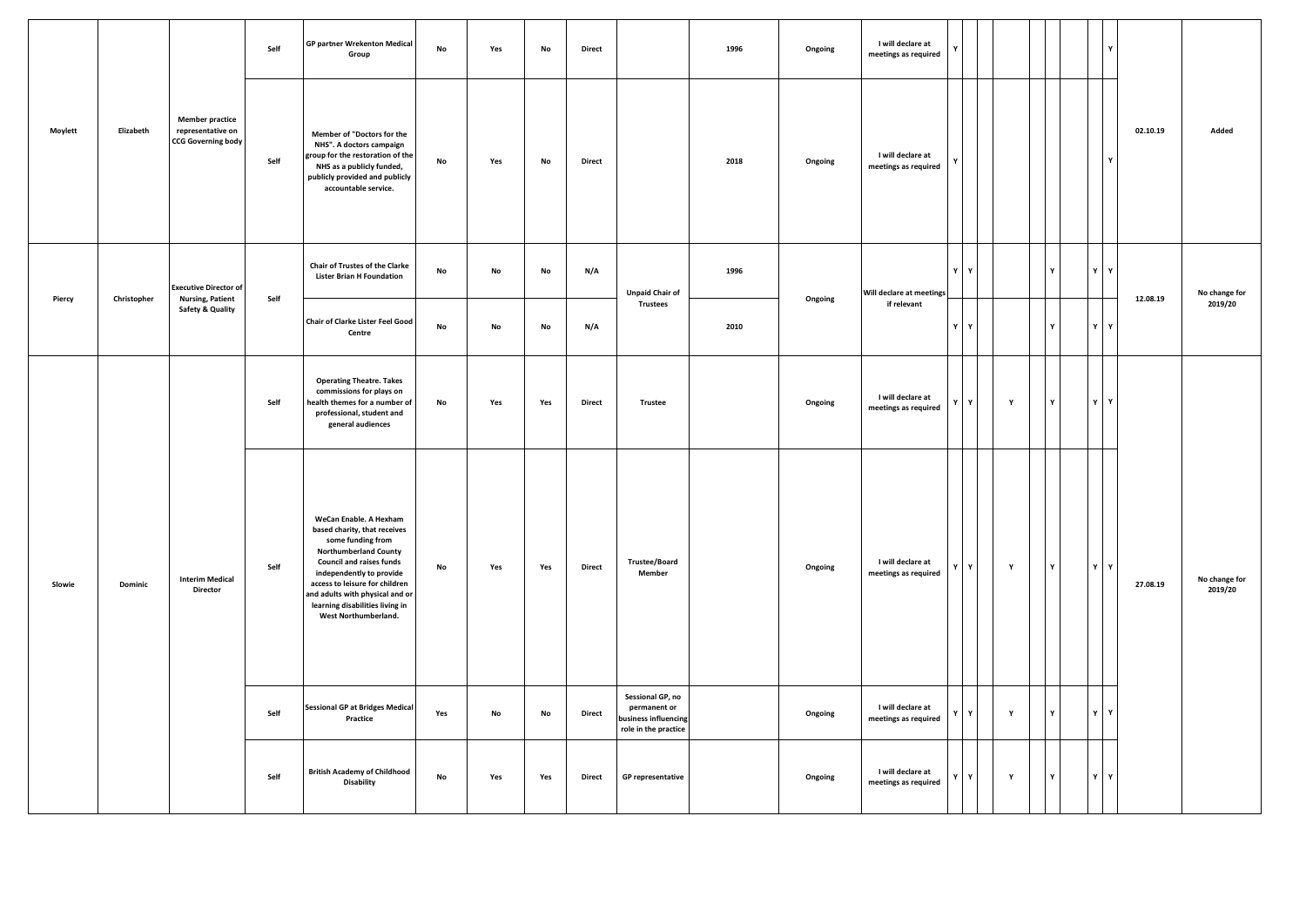|         |             | <b>GP partner Wrekenton Medical</b><br>Self<br>No<br>Group               | Yes  | No                                                                                                                                                                                                                                                                                                         | <b>Direct</b> |     | 1996 | Ongoing       | I will declare at<br>meetings as required                                        |      |         |                                           |   |   | Ÿ           |              |              |              |          |                          |
|---------|-------------|--------------------------------------------------------------------------|------|------------------------------------------------------------------------------------------------------------------------------------------------------------------------------------------------------------------------------------------------------------------------------------------------------------|---------------|-----|------|---------------|----------------------------------------------------------------------------------|------|---------|-------------------------------------------|---|---|-------------|--------------|--------------|--------------|----------|--------------------------|
| Moylett | Elizabeth   | <b>Member practice</b><br>representative on<br><b>CCG Governing body</b> | Self | Member of "Doctors for the<br>NHS". A doctors campaign<br>group for the restoration of the<br>NHS as a publicly funded,<br>publicly provided and publicly<br>accountable service.                                                                                                                          | No            | Yes | No   | Direct        |                                                                                  | 2018 | Ongoing | I will declare at<br>meetings as required |   |   |             |              |              | Y            | 02.10.19 | Added                    |
|         |             | <b>Executive Director of</b>                                             |      | Chair of Trustes of the Clarke<br><b>Lister Brian H Foundation</b>                                                                                                                                                                                                                                         | No            | No  | No   | N/A           | <b>Unpaid Chair of</b>                                                           | 1996 |         | Will declare at meetings                  | Y | Y |             | v            | Y            | Y            |          | No change for            |
| Piercy  | Christopher | <b>Nursing, Patient</b><br><b>Safety &amp; Quality</b>                   | Self | Chair of Clarke Lister Feel Good<br>Centre                                                                                                                                                                                                                                                                 | No            | No  | No   | N/A           | <b>Trustees</b>                                                                  | 2010 | Ongoing | if relevant                               | Y | Y |             |              |              | Y            | 12.08.19 | 2019/20                  |
| Slowie  | Dominic     | <b>Interim Medical</b><br><b>Director</b>                                | Self | <b>Operating Theatre. Takes</b><br>commissions for plays on<br>health themes for a number of<br>professional, student and<br>general audiences                                                                                                                                                             | No            | Yes | Yes  | Direct        | Trustee                                                                          |      | Ongoing | I will declare at<br>meetings as required | Y | Y | $\mathbf Y$ | Y            | Y            | $\mathbf{Y}$ |          |                          |
|         |             |                                                                          | Self | WeCan Enable. A Hexham<br>based charity, that receives<br>some funding from<br><b>Northumberland County</b><br><b>Council and raises funds</b><br>independently to provide<br>access to leisure for children<br>and adults with physical and or<br>learning disabilities living in<br>West Northumberland. | No            | Yes | Yes  | <b>Direct</b> | <b>Trustee/Board</b><br>Member                                                   |      | Ongoing | I will declare at<br>meetings as required |   | Y | Y           | Y            |              | YY           | 27.08.19 | No change for<br>2019/20 |
|         |             |                                                                          | Self | <b>Sessional GP at Bridges Medical</b><br>Practice                                                                                                                                                                                                                                                         | Yes           | No  | No   | Direct        | Sessional GP, no<br>permanent or<br>business influencing<br>role in the practice |      | Ongoing | I will declare at<br>meetings as required | Y | Y | $\mathbf Y$ | $\mathbf{v}$ | $\mathbf{v}$ | $\mathbf{v}$ |          |                          |
|         |             |                                                                          | Self | <b>British Academy of Childhood</b><br><b>Disability</b>                                                                                                                                                                                                                                                   | No            | Yes | Yes  | Direct        | <b>GP</b> representative                                                         |      | Ongoing | I will declare at<br>meetings as required | Y | Y | Y           | Y            |              | $Y$ $Y$      |          |                          |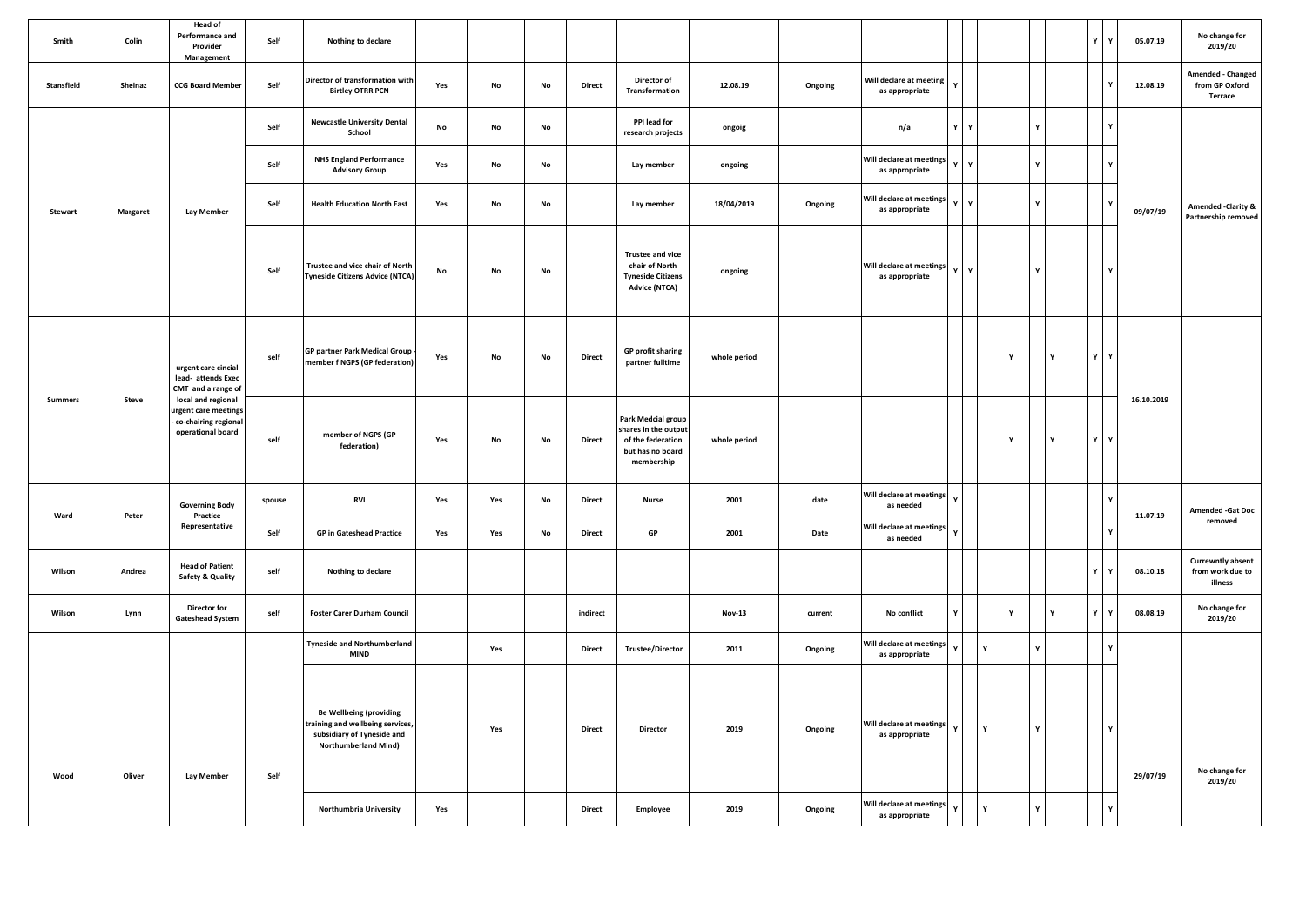| Smith          | Colin           | <b>Head of</b><br>Performance and<br>Provider<br>Management                             | Self   | Nothing to declare                                                                                                              |     |               |    |               |                                                                                                   |               |         |                                                                        |              |              |                    |              |   | Y<br>Y       | 05.07.19   | No change for<br>2019/20                                |
|----------------|-----------------|-----------------------------------------------------------------------------------------|--------|---------------------------------------------------------------------------------------------------------------------------------|-----|---------------|----|---------------|---------------------------------------------------------------------------------------------------|---------------|---------|------------------------------------------------------------------------|--------------|--------------|--------------------|--------------|---|--------------|------------|---------------------------------------------------------|
| Stansfield     | Sheinaz         | <b>CCG Board Member</b>                                                                 | Self   | Director of transformation with<br><b>Birtley OTRR PCN</b>                                                                      | Yes | No            | No | Direct        | Director of<br>Transformation                                                                     | 12.08.19      | Ongoing | Will declare at meeting<br>as appropriate                              | $\mathbf{v}$ |              |                    |              |   |              | 12.08.19   | Amended - Changed<br>from GP Oxford<br>Terrace          |
|                |                 |                                                                                         | Self   | <b>Newcastle University Dental</b><br>School                                                                                    | No  | $\mathsf{No}$ | No |               | PPI lead for<br>research projects                                                                 | ongoig        |         | n/a                                                                    | Y            | $\mathbf{v}$ |                    | Y            |   | $\mathbf{Y}$ |            |                                                         |
|                |                 |                                                                                         | Self   | <b>NHS England Performance</b><br><b>Advisory Group</b>                                                                         | Yes | $\mathsf{No}$ | No |               | Lay member                                                                                        | ongoing       |         | Will declare at meetings<br>as appropriate                             | $\mathbf{v}$ | $\mathbf{v}$ |                    | $\mathbf{v}$ |   | $\mathbf{v}$ |            |                                                         |
| <b>Stewart</b> | <b>Margaret</b> | <b>Lay Member</b>                                                                       | Self   | <b>Health Education North East</b>                                                                                              | Yes | No            | No |               | Lay member                                                                                        | 18/04/2019    | Ongoing | Will declare at meetings<br>as appropriate                             | Y            | Y            |                    | Y            |   |              | 09/07/19   | <b>Amended -Clarity &amp;</b><br>Partnership removed    |
|                |                 |                                                                                         | Self   | Trustee and vice chair of North<br>Tyneside Citizens Advice (NTCA)                                                              | No  | No            | No |               | <b>Trustee and vice</b><br>chair of North<br><b>Tyneside Citizens</b><br><b>Advice (NTCA)</b>     | ongoing       |         | Will declare at meetings v<br>as appropriate                           |              | l v          |                    |              |   | Y            |            |                                                         |
|                |                 | urgent care cincial<br>lead- attends Exec<br>CMT and a range of                         | self   | <b>GP partner Park Medical Group</b><br>member f NGPS (GP federation)                                                           | Yes | No            | No | <b>Direct</b> | <b>GP profit sharing</b><br>partner fulltime                                                      | whole period  |         |                                                                        |              |              | $\pmb{\mathsf{Y}}$ |              | Y | YY           |            |                                                         |
| <b>Summers</b> | Steve           | local and regional<br>urgent care meetings<br>co-chairing regional<br>operational board | self   | member of NGPS (GP<br>federation)                                                                                               | Yes | No            | No | Direct        | Park Medcial group<br>shares in the output<br>of the federation<br>but has no board<br>membership | whole period  |         |                                                                        |              |              | Y                  |              | Y | YY           | 16.10.2019 |                                                         |
|                |                 | <b>Governing Body</b>                                                                   | spouse | <b>RVI</b>                                                                                                                      | Yes | Yes           | No | <b>Direct</b> | <b>Nurse</b>                                                                                      | 2001          | date    | Will declare at meetings<br>as needed                                  | $\mathbf Y$  |              |                    |              |   | Y            |            | <b>Amended -Gat Doc</b>                                 |
| Ward           | Peter           | Practice<br>Representative                                                              | Self   | <b>GP</b> in Gateshead Practice                                                                                                 | Yes | Yes           | No | <b>Direct</b> | ${\sf GP}$                                                                                        | 2001          | Date    | Will declare at meetings<br>as needed                                  | $\mathbf Y$  |              |                    |              |   |              | 11.07.19   | removed                                                 |
| Wilson         | Andrea          | <b>Head of Patient</b><br>Safety & Quality                                              | self   | Nothing to declare                                                                                                              |     |               |    |               |                                                                                                   |               |         |                                                                        |              |              |                    |              |   | Y<br>Y       | 08.10.18   | <b>Currewntly absent</b><br>from work due to<br>illness |
| Wilson         | Lynn            | Director for<br><b>Gateshead System</b>                                                 | self   | <b>Foster Carer Durham Council</b>                                                                                              |     |               |    | indirect      |                                                                                                   | <b>Nov-13</b> | current | No conflict                                                            | Y            |              | Y                  |              |   | Y<br>Y       | 08.08.19   | No change for<br>2019/20                                |
|                |                 |                                                                                         |        | <b>Tyneside and Northumberland</b><br><b>MIND</b>                                                                               |     | Yes           |    | <b>Direct</b> | <b>Trustee/Director</b>                                                                           | 2011          | Ongoing | Will declare at meetings<br>as appropriate                             | $\mathbf{v}$ |              |                    |              |   | $\mathbf{Y}$ |            |                                                         |
| Wood           | Oliver          | <b>Lay Member</b>                                                                       | Self   | <b>Be Wellbeing (providing</b><br>training and wellbeing services,<br>subsidiary of Tyneside and<br><b>Northumberland Mind)</b> |     | Yes           |    | <b>Direct</b> | Director                                                                                          | 2019          | Ongoing | Will declare at meetings<br>as appropriate<br>Will declare at meetings | $\mathbf{v}$ |              |                    |              |   | Y            | 29/07/19   | No change for<br>2019/20                                |
|                |                 |                                                                                         |        | Northumbria University                                                                                                          | Yes |               |    | <b>Direct</b> | Employee                                                                                          | 2019          | Ongoing | as appropriate                                                         |              |              |                    |              |   |              |            |                                                         |